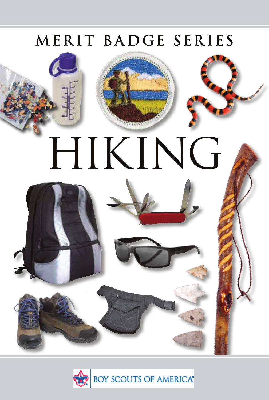# MERIT BADGE SERIES



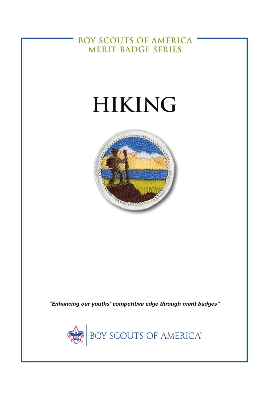**BOY SCOUTS OF AMERICA MERIT BADGE SERIES**

# **HIKING**



*"Enhancing our youths' competitive edge through merit badges"*

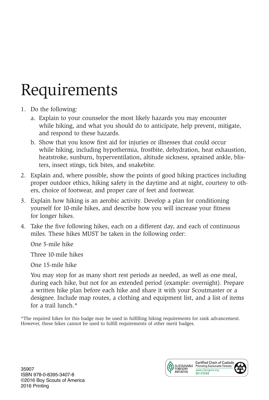# Requirements

- 1. Do the following:
	- a. Explain to your counselor the most likely hazards you may encounter while hiking, and what you should do to anticipate, help prevent, mitigate, and respond to these hazards.
	- b. Show that you know first aid for injuries or illnesses that could occur while hiking, including hypothermia, frostbite, dehydration, heat exhaustion, heatstroke, sunburn, hyperventilation, altitude sickness, sprained ankle, blisters, insect stings, tick bites, and snakebite.
- 2. Explain and, where possible, show the points of good hiking practices including proper outdoor ethics, hiking safety in the daytime and at night, courtesy to others, choice of footwear, and proper care of feet and footwear.
- 3. Explain how hiking is an aerobic activity. Develop a plan for conditioning yourself for 10-mile hikes, and describe how you will increase your fitness for longer hikes.
- 4. Take the five following hikes, each on a different day, and each of continuous miles. These hikes MUST be taken in the following order:

One 5-mile hike

Three 10-mile hikes

One 15-mile hike

 You may stop for as many short rest periods as needed, as well as one meal, during each hike, but not for an extended period (example: overnight). Prepare a written hike plan before each hike and share it with your Scoutmaster or a designee. Include map routes, a clothing and equipment list, and a list of items for a trail lunch.\*

\*The required hikes for this badge may be used in fulfilling hiking requirements for rank advancement. However, these hikes cannot be used to fulfill requirements of other merit badges.

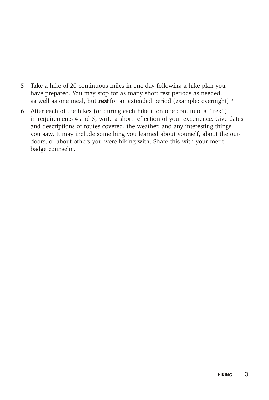- 5. Take a hike of 20 continuous miles in one day following a hike plan you have prepared. You may stop for as many short rest periods as needed, as well as one meal, but *not* for an extended period (example: overnight).\*
- 6. After each of the hikes (or during each hike if on one continuous "trek") in requirements 4 and 5, write a short reflection of your experience. Give dates and descriptions of routes covered, the weather, and any interesting things you saw. It may include something you learned about yourself, about the outdoors, or about others you were hiking with. Share this with your merit badge counselor.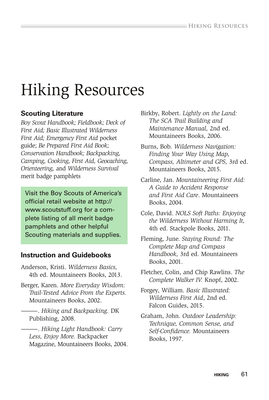# Hiking Resources

### **Scouting Literature**

*Boy Scout Handbook; Fieldbook; Deck of First Aid; Basic Illustrated Wilderness First Aid; Emergency First Aid* pocket guide; *Be Prepared First Aid Book; Conservation Handbook; Backpacking, Camping, Cooking, First Aid, Geocaching, Orienteering,* and *Wilderness Survival* merit badge pamphlets

Visit the Boy Scouts of America's official retail website at http:// www.scoutstuff.org for a complete listing of all merit badge pamphlets and other helpful Scouting materials and supplies.

### **Instruction and Guidebooks**

- Anderson, Kristi. *Wilderness Basics,*  4th ed. Mountaineers Books, 2013.
- Berger, Karen. *More Everyday Wisdom: Trail-Tested Advice From the Experts.* Mountaineers Books, 2002.
- ———. *Hiking and Backpacking.* DK Publishing, 2008.
- ———. *Hiking Light Handbook: Carry Less, Enjoy More.* Backpacker Magazine, Mountaineers Books, 2004.
- Birkby, Robert. *Lightly on the Land: The SCA Trail Building and Maintenance Manual,* 2nd ed. Mountaineers Books, 2006.
- Burns, Bob. *Wilderness Navigation: Finding Your Way Using Map, Compass, Altimeter and GPS,* 3rd ed. Mountaineers Books, 2015.
- Carline, Jan. *Mountaineering First Aid: A Guide to Accident Response and First Aid Care*. Mountaineers Books, 2004.
- Cole, David. *NOLS Soft Paths: Enjoying the Wilderness Without Harming It,*  4th ed. Stackpole Books, 2011.
- Fleming, June. *Staying Found: The Complete Map and Compass Handbook,* 3rd ed. Mountaineers Books, 2001.
- Fletcher, Colin, and Chip Rawlins. *The Complete Walker IV.* Knopf, 2002.
- Forgey, William. *Basic Illustrated: Wilderness First Aid*, 2nd ed. Falcon Guides, 2015.
- Graham, John. *Outdoor Leadership: Technique, Common Sense, and Self-Confidence.* Mountaineers Books, 1997.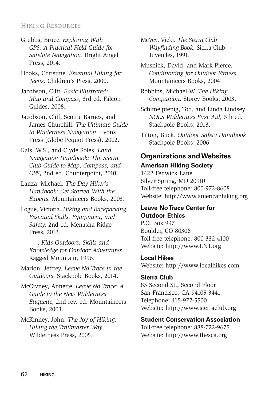#### **Hiking Resources.**

Grubbs, Bruce. *Exploring With GPS: A Practical Field Guide for Satellite Navigation.* Bright Angel Press, 2014.

Hooks, Christine. *Essential Hiking for Teens*. Children's Press, 2000.

Jacobson, Cliff. *Basic Illustrated: Map and Compass*, 3rd ed. Falcon Guides, 2008.

Jacobson, Cliff, Scottie Barnes, and James Churchill. *The Ultimate Guide to Wilderness Navigation*. Lyons Press (Globe Pequot Press), 2002.

Kals, W.S., and Clyde Soles. *Land Navigation Handbook: The Sierra Club Guide to Map, Compass, and GPS*, 2nd ed. Counterpoint, 2010.

Lanza, Michael. *The Day Hiker's Handbook: Get Started With the Experts.* Mountaineers Books, 2003.

- Logue, Victoria. *Hiking and Backpacking: Essential Skills, Equipment, and Safety,* 2nd ed. Menasha Ridge Press, 2013.
	- ———. *Kids Outdoors: Skills and Knowledge for Outdoor Adventures*. Ragged Mountain, 1996.

Marion, Jeffrey. *Leave No Trace in the Outdoors*. Stackpole Books, 2014.

McGivney, Annette. *Leave No Trace: A Guide to the New Wilderness Etiquette,* 2nd rev. ed. Mountaineers Books, 2003.

#### McKinney, John. *The Joy of Hiking: Hiking the Trailmaster Way.* Wilderness Press, 2005.

McVey, Vicki. *The Sierra Club Wayfinding Book.* Sierra Club Juveniles, 1991.

Musnick, David, and Mark Pierce. *Conditioning for Outdoor Fitness.* Mountaineers Books, 2004.

Robbins, Michael W. *The Hiking Companion.* Storey Books, 2003.

Schimelpfenig, Tod, and Linda Lindsey. *NOLS Wilderness First Aid,* 5th ed*.* Stackpole Books, 2013.

Tilton, Buck. *Outdoor Safety Handbook.* Stackpole Books, 2006.

### **Organizations and Websites American Hiking Society**

1422 Fenwick Lane Silver Spring, MD 20910 Toll-free telephone: 800-972-8608 Website: http://www.americanhiking.org

#### **Leave No Trace Center for Outdoor Ethics**

P.O. Box 997 Boulder, CO 80306 Toll-free telephone: 800-332-4100 Website: http://www.LNT.org

#### **Local Hikes**

Website: http://www.localhikes.com

#### **Sierra Club**

85 Second St., Second Floor San Francisco, CA 94105-3441 Telephone: 415-977-5500 Website: http://www.sierraclub.org

#### **Student Conservation Association**

Toll-free telephone: 888-722-9675 Website: http://www.thesca.org